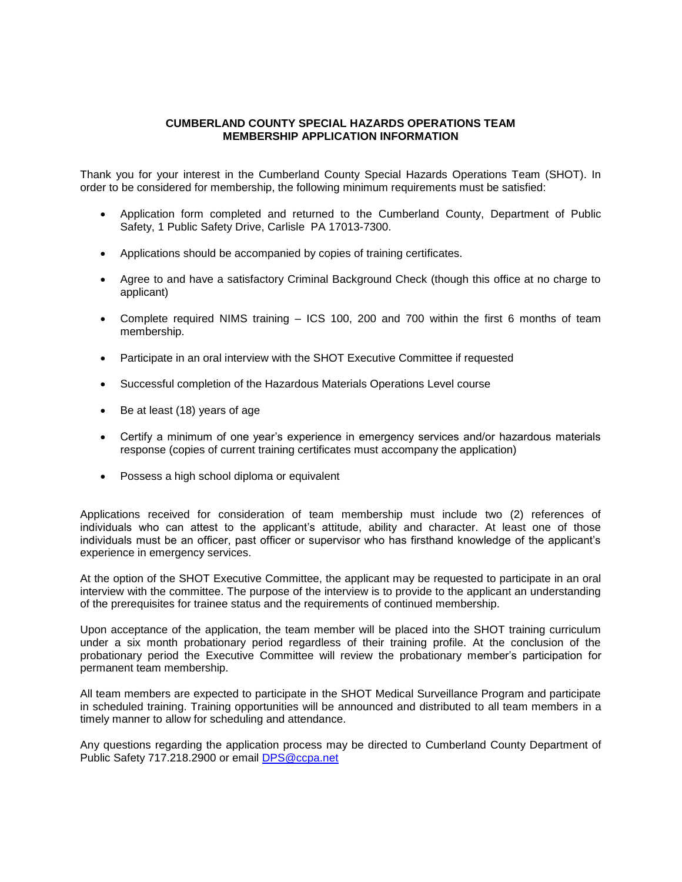## **CUMBERLAND COUNTY SPECIAL HAZARDS OPERATIONS TEAM MEMBERSHIP APPLICATION INFORMATION**

Thank you for your interest in the Cumberland County Special Hazards Operations Team (SHOT). In order to be considered for membership, the following minimum requirements must be satisfied:

- Application form completed and returned to the Cumberland County, Department of Public Safety, 1 Public Safety Drive, Carlisle PA 17013-7300.
- Applications should be accompanied by copies of training certificates.
- Agree to and have a satisfactory Criminal Background Check (though this office at no charge to applicant)
- Complete required NIMS training ICS 100, 200 and 700 within the first 6 months of team membership.
- Participate in an oral interview with the SHOT Executive Committee if requested
- Successful completion of the Hazardous Materials Operations Level course
- Be at least (18) years of age
- Certify a minimum of one year's experience in emergency services and/or hazardous materials response (copies of current training certificates must accompany the application)
- Possess a high school diploma or equivalent

Applications received for consideration of team membership must include two (2) references of individuals who can attest to the applicant's attitude, ability and character. At least one of those individuals must be an officer, past officer or supervisor who has firsthand knowledge of the applicant's experience in emergency services.

At the option of the SHOT Executive Committee, the applicant may be requested to participate in an oral interview with the committee. The purpose of the interview is to provide to the applicant an understanding of the prerequisites for trainee status and the requirements of continued membership.

Upon acceptance of the application, the team member will be placed into the SHOT training curriculum under a six month probationary period regardless of their training profile. At the conclusion of the probationary period the Executive Committee will review the probationary member's participation for permanent team membership.

All team members are expected to participate in the SHOT Medical Surveillance Program and participate in scheduled training. Training opportunities will be announced and distributed to all team members in a timely manner to allow for scheduling and attendance.

Any questions regarding the application process may be directed to Cumberland County Department of Public Safety 717.218.2900 or email [DPS@ccpa.net](mailto:DPS@ccpa.net)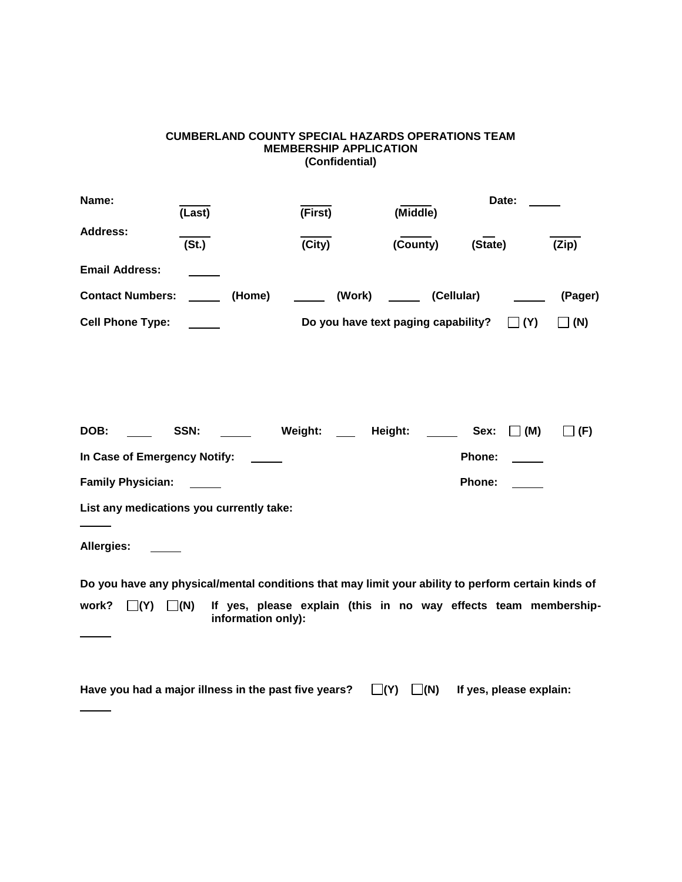## **CUMBERLAND COUNTY SPECIAL HAZARDS OPERATIONS TEAM MEMBERSHIP APPLICATION (Confidential)**

| Name:                                    | (Last)                                                                                             | (First)                                                         | (Middle)                  | Date:                   |            |
|------------------------------------------|----------------------------------------------------------------------------------------------------|-----------------------------------------------------------------|---------------------------|-------------------------|------------|
| <b>Address:</b>                          | (St.)                                                                                              | (City)                                                          | (County)                  | (State)                 | (Zip)      |
| <b>Email Address:</b>                    |                                                                                                    |                                                                 |                           |                         |            |
| <b>Contact Numbers:</b>                  | (Home)                                                                                             | ______ (Work) ______ (Cellular)                                 |                           |                         | (Pager)    |
| <b>Cell Phone Type:</b>                  |                                                                                                    | Do you have text paging capability?                             |                           | $\Box$ (Y)              | (N)        |
|                                          |                                                                                                    |                                                                 |                           |                         |            |
|                                          |                                                                                                    |                                                                 |                           |                         |            |
|                                          |                                                                                                    |                                                                 |                           |                         |            |
| DOB:                                     | SSN: Weight: Height:                                                                               |                                                                 |                           | Sex:<br>$\Box$ (M)      | $\Box$ (F) |
| In Case of Emergency Notify:             |                                                                                                    |                                                                 |                           | Phone:                  |            |
| <b>Family Physician:</b>                 |                                                                                                    |                                                                 |                           | Phone:                  |            |
| List any medications you currently take: |                                                                                                    |                                                                 |                           |                         |            |
| Allergies:                               |                                                                                                    |                                                                 |                           |                         |            |
|                                          | Do you have any physical/mental conditions that may limit your ability to perform certain kinds of |                                                                 |                           |                         |            |
| $\Box(Y)$ $\Box(N)$<br>work?             | information only):                                                                                 | If yes, please explain (this in no way effects team membership- |                           |                         |            |
|                                          |                                                                                                    |                                                                 |                           |                         |            |
|                                          | Have you had a major illness in the past five years?                                               |                                                                 | $\square(N)$<br>$\Box(Y)$ | If yes, please explain: |            |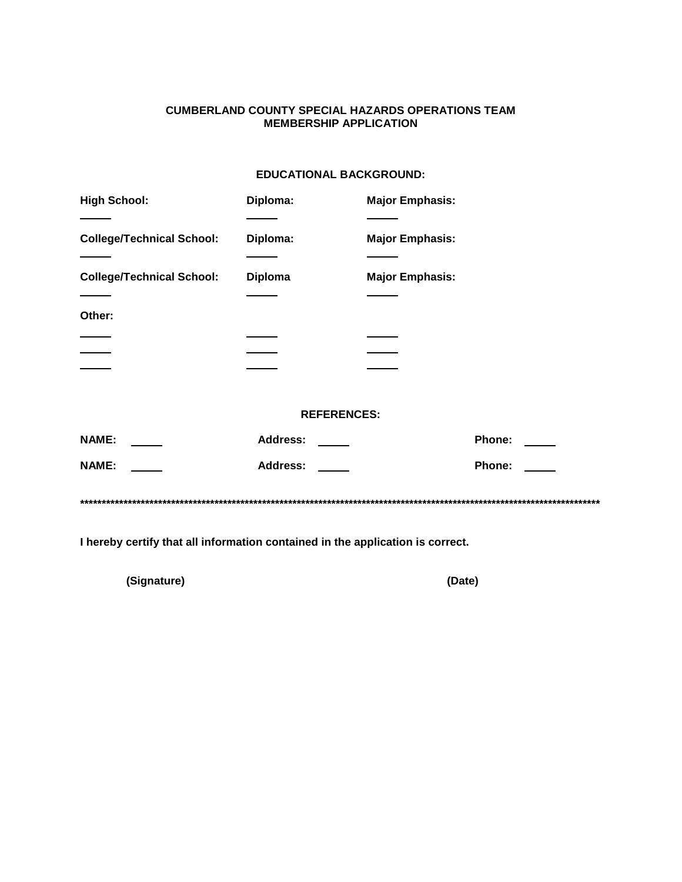# **CUMBERLAND COUNTY SPECIAL HAZARDS OPERATIONS TEAM MEMBERSHIP APPLICATION**

# **EDUCATIONAL BACKGROUND:**

| <b>High School:</b>              | Diploma:       | <b>Major Emphasis:</b> |
|----------------------------------|----------------|------------------------|
|                                  |                |                        |
| <b>College/Technical School:</b> | Diploma:       | <b>Major Emphasis:</b> |
|                                  |                |                        |
| <b>College/Technical School:</b> | <b>Diploma</b> | <b>Major Emphasis:</b> |
|                                  |                |                        |
| Other:                           |                |                        |
|                                  |                |                        |
|                                  |                |                        |
|                                  |                |                        |

#### **REFERENCES:**

| <b>NAME:</b> | <b>Address:</b> | <b>Phone:</b>                         |
|--------------|-----------------|---------------------------------------|
| <b>NAME:</b> | <b>Address:</b> | <b>Phone:</b><br><u>and the state</u> |
|              |                 |                                       |

I hereby certify that all information contained in the application is correct.

(Signature)

(Date)